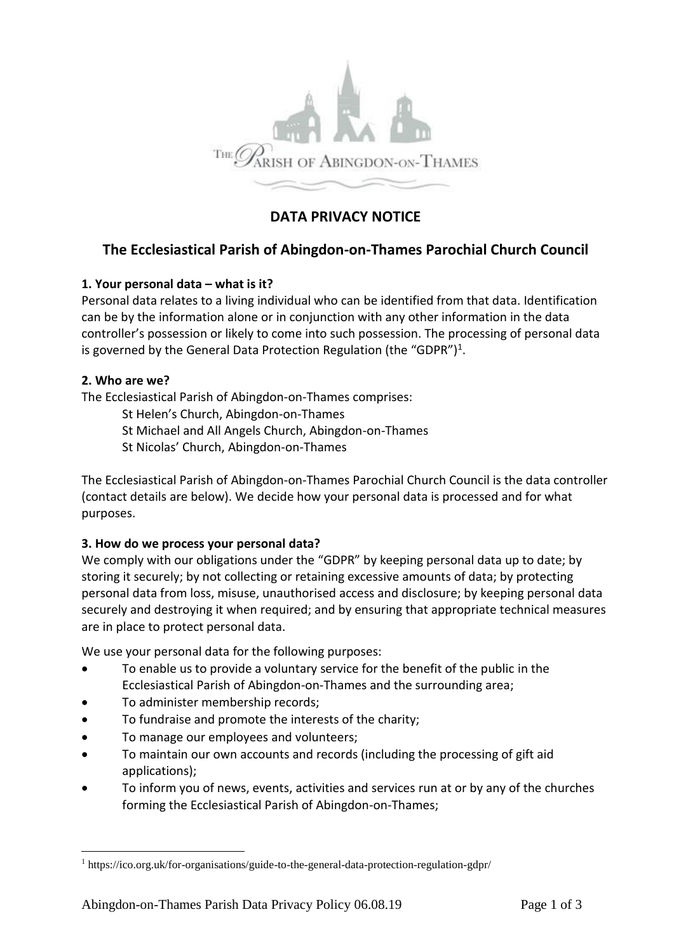

# **DATA PRIVACY NOTICE**

# **The Ecclesiastical Parish of Abingdon-on-Thames Parochial Church Council**

### **1. Your personal data – what is it?**

Personal data relates to a living individual who can be identified from that data. Identification can be by the information alone or in conjunction with any other information in the data controller's possession or likely to come into such possession. The processing of personal data is governed by the General Data Protection Regulation (the "GDPR")<sup>1</sup>.

#### **2. Who are we?**

The Ecclesiastical Parish of Abingdon-on-Thames comprises:

- St Helen's Church, Abingdon-on-Thames
- St Michael and All Angels Church, Abingdon-on-Thames
- St Nicolas' Church, Abingdon-on-Thames

The Ecclesiastical Parish of Abingdon-on-Thames Parochial Church Council is the data controller (contact details are below). We decide how your personal data is processed and for what purposes.

### **3. How do we process your personal data?**

We comply with our obligations under the "GDPR" by keeping personal data up to date; by storing it securely; by not collecting or retaining excessive amounts of data; by protecting personal data from loss, misuse, unauthorised access and disclosure; by keeping personal data securely and destroying it when required; and by ensuring that appropriate technical measures are in place to protect personal data.

We use your personal data for the following purposes:

- To enable us to provide a voluntary service for the benefit of the public in the Ecclesiastical Parish of Abingdon-on-Thames and the surrounding area;
- To administer membership records;
- To fundraise and promote the interests of the charity;
- To manage our employees and volunteers;
- To maintain our own accounts and records (including the processing of gift aid applications);
- To inform you of news, events, activities and services run at or by any of the churches forming the Ecclesiastical Parish of Abingdon-on-Thames;

<sup>1</sup> https://ico.org.uk/for-organisations/guide-to-the-general-data-protection-regulation-gdpr/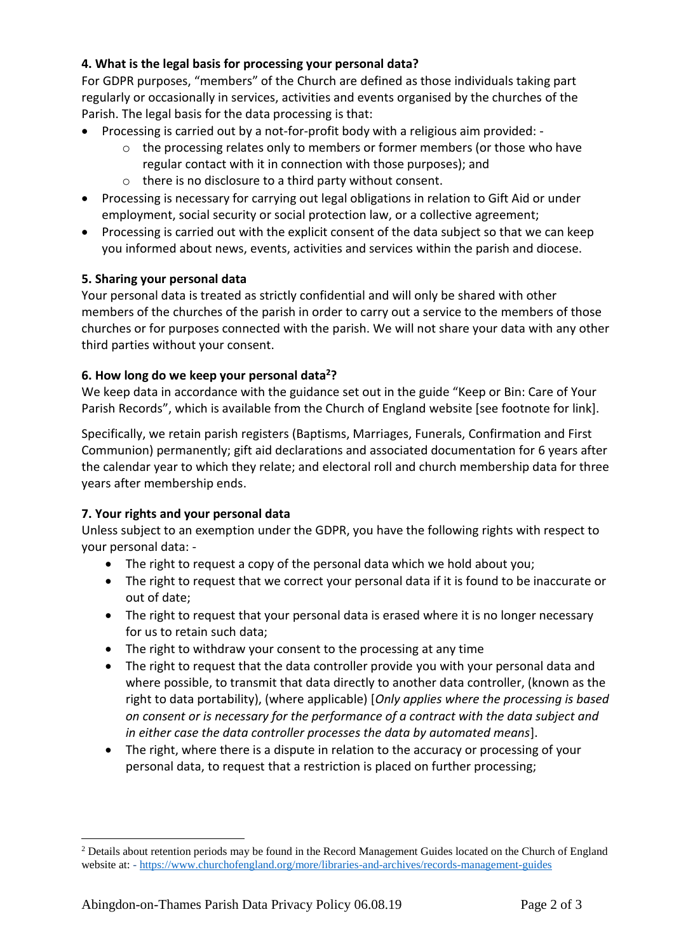## **4. What is the legal basis for processing your personal data?**

For GDPR purposes, "members" of the Church are defined as those individuals taking part regularly or occasionally in services, activities and events organised by the churches of the Parish. The legal basis for the data processing is that:

- Processing is carried out by a not-for-profit body with a religious aim provided:
	- o the processing relates only to members or former members (or those who have regular contact with it in connection with those purposes); and
	- o there is no disclosure to a third party without consent.
- Processing is necessary for carrying out legal obligations in relation to Gift Aid or under employment, social security or social protection law, or a collective agreement;
- Processing is carried out with the explicit consent of the data subject so that we can keep you informed about news, events, activities and services within the parish and diocese.

### **5. Sharing your personal data**

Your personal data is treated as strictly confidential and will only be shared with other members of the churches of the parish in order to carry out a service to the members of those churches or for purposes connected with the parish. We will not share your data with any other third parties without your consent.

### **6. How long do we keep your personal data<sup>2</sup>?**

We keep data in accordance with the guidance set out in the guide "Keep or Bin: Care of Your Parish Records", which is available from the Church of England website [see footnote for link].

Specifically, we retain parish registers (Baptisms, Marriages, Funerals, Confirmation and First Communion) permanently; gift aid declarations and associated documentation for 6 years after the calendar year to which they relate; and electoral roll and church membership data for three years after membership ends.

### **7. Your rights and your personal data**

Unless subject to an exemption under the GDPR, you have the following rights with respect to your personal data: -

- The right to request a copy of the personal data which we hold about you;
- The right to request that we correct your personal data if it is found to be inaccurate or out of date;
- The right to request that your personal data is erased where it is no longer necessary for us to retain such data;
- The right to withdraw your consent to the processing at any time
- The right to request that the data controller provide you with your personal data and where possible, to transmit that data directly to another data controller, (known as the right to data portability), (where applicable) [*Only applies where the processing is based on consent or is necessary for the performance of a contract with the data subject and in either case the data controller processes the data by automated means*].
- The right, where there is a dispute in relation to the accuracy or processing of your personal data, to request that a restriction is placed on further processing;

<sup>&</sup>lt;sup>2</sup> Details about retention periods may be found in the Record Management Guides located on the Church of England website at: - <https://www.churchofengland.org/more/libraries-and-archives/records-management-guides>